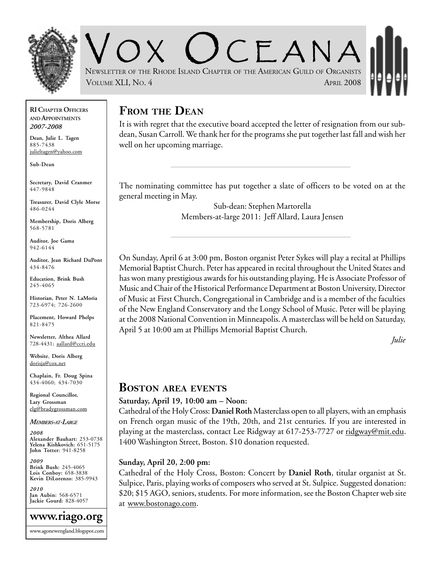

 $CFANA$ NEWSLETTER OF THE RHODE ISLAND CHAPTER OF THE AMERICAN GUILD OF ORGANISTS VOLUME XLI, NO. 4 APRIL 2008

**RI CHAPTER OFFICERS AND APPOINTMENTS** *2007-2008*

**Dean, Julie L. Tagen** 885-7438 julieltagen@yahoo.com

**Sub-Dean**

**Secretary, David Cranmer** 447-9848

**Treasurer, David Clyle Morse** 486-0244

**Membership, Doris Alberg** 568-5781

**Auditor, Joe Gama** 942-6144

**Auditor, Jean Richard DuPont** 434-8476

**Education, Brink Bush** 245-4065

**Historian, Peter N. LaMoria** 723-6974; 726-2600

**Placement, Howard Phelps** 821-8475

**Newsletter, Althea Allard** 728-4431; aallard@ccri.edu

**Website**, **Doris Alberg** dorisja@cox.net

**Chaplain, Fr. Doug Spina** 434-4060; 434-7030

**Regional Councillor, Lary Grossman** elg@bradygrossman.com

#### *MEMBERS-AT-LARGE*

*2008* **Alexander Bauhart:** 253-0738 **Yelena Kishkovich:** 651-5175 **John Totter:** 941-8258

*2009* **Brink Bush:** 245-4065 **Lois Conboy:** 658-3838 **Kevin DiLorenzo:** 385-9943

*2010* **Jan Aubin:** 568-6571 **Jackie Gourd:** 828-4057



## **FROM THE DEAN**

It is with regret that the executive board accepted the letter of resignation from our subdean, Susan Carroll. We thank her for the programs she put together last fall and wish her well on her upcoming marriage.

The nominating committee has put together a slate of officers to be voted on at the general meeting in May.

> Sub-dean: Stephen Martorella Members-at-large 2011: Jeff Allard, Laura Jensen

On Sunday, April 6 at 3:00 pm, Boston organist Peter Sykes will play a recital at Phillips Memorial Baptist Church. Peter has appeared in recital throughout the United States and has won many prestigious awards for his outstanding playing. He is Associate Professor of Music and Chair of the Historical Performance Department at Boston University, Director of Music at First Church, Congregational in Cambridge and is a member of the faculties of the New England Conservatory and the Longy School of Music. Peter will be playing at the 2008 National Convention in Minneapolis. A masterclass will be held on Saturday, April 5 at 10:00 am at Phillips Memorial Baptist Church.

*Julie*

### **BOSTON AREA EVENTS**

#### **Saturday, April 19, 10:00 am – Noon:**

Cathedral of the Holy Cross: **Daniel Roth** Masterclass open to all players, with an emphasis on French organ music of the 19th, 20th, and 21st centuries. If you are interested in playing at the masterclass, contact Lee Ridgway at 617-253-7727 or ridgway@mit.edu. 1400 Washington Street, Boston. \$10 donation requested.

#### **Sunday, April 20, 2:00 pm:**

Cathedral of the Holy Cross, Boston: Concert by **Daniel Roth**, titular organist at St. Sulpice, Paris, playing works of composers who served at St. Sulpice. Suggested donation: \$20; \$15 AGO, seniors, students. For more information, see the Boston Chapter web site at www.bostonago.com.